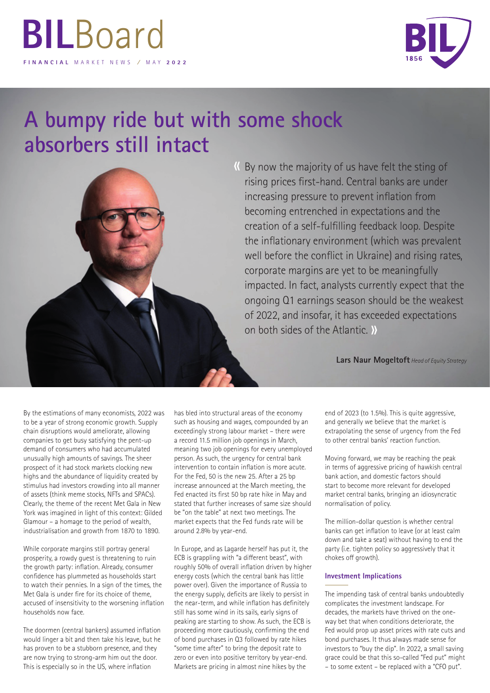

## **A bumpy ride but with some shock absorbers still intact**



By now the majority of us have felt the sting of « rising prices first-hand. Central banks are under increasing pressure to prevent inflation from becoming entrenched in expectations and the creation of a self-fulfilling feedback loop. Despite the inflationary environment (which was prevalent well before the conflict in Ukraine) and rising rates, corporate margins are yet to be meaningfully impacted. In fact, analysts currently expect that the ongoing Q1 earnings season should be the weakest of 2022, and insofar, it has exceeded expectations on both sides of the Atlantic. »

**Lars Naur Mogeltoft** *Head of Equity Strategy*

By the estimations of many economists, 2022 was to be a year of strong economic growth. Supply chain disruptions would ameliorate, allowing companies to get busy satisfying the pent-up demand of consumers who had accumulated unusually high amounts of savings. The sheer prospect of it had stock markets clocking new highs and the abundance of liquidity created by stimulus had investors crowding into all manner of assets (think meme stocks, NFTs and SPACs). Clearly, the theme of the recent Met Gala in New York was imagined in light of this context: Gilded Glamour – a homage to the period of wealth, industrialisation and growth from 1870 to 1890.

While corporate margins still portray general prosperity, a rowdy guest is threatening to ruin the growth party: inflation. Already, consumer confidence has plummeted as households start to watch their pennies. In a sign of the times, the Met Gala is under fire for its choice of theme, accused of insensitivity to the worsening inflation households now face.

The doormen (central bankers) assumed inflation would linger a bit and then take his leave, but he has proven to be a stubborn presence, and they are now trying to strong-arm him out the door. This is especially so in the US, where inflation

has bled into structural areas of the economy such as housing and wages, compounded by an exceedingly strong labour market – there were a record 11.5 million job openings in March, meaning two job openings for every unemployed person. As such, the urgency for central bank intervention to contain inflation is more acute. For the Fed, 50 is the new 25. After a 25 bp increase announced at the March meeting, the Fed enacted its first 50 bp rate hike in May and stated that further increases of same size should be "on the table" at next two meetings. The market expects that the Fed funds rate will be around 2.8% by year-end.

In Europe, and as Lagarde herself has put it, the ECB is grappling with "a different beast", with roughly 50% of overall inflation driven by higher energy costs (which the central bank has little power over). Given the importance of Russia to the energy supply, deficits are likely to persist in the near-term, and while inflation has definitely still has some wind in its sails, early signs of peaking are starting to show. As such, the ECB is proceeding more cautiously, confirming the end of bond purchases in Q3 followed by rate hikes "some time after" to bring the deposit rate to zero or even into positive territory by year-end. Markets are pricing in almost nine hikes by the

end of 2023 (to 1.5%). This is quite aggressive, and generally we believe that the market is extrapolating the sense of urgency from the Fed to other central banks' reaction function.

Moving forward, we may be reaching the peak in terms of aggressive pricing of hawkish central bank action, and domestic factors should start to become more relevant for developed market central banks, bringing an idiosyncratic normalisation of policy.

The million-dollar question is whether central banks can get inflation to leave (or at least calm down and take a seat) without having to end the party (i.e. tighten policy so aggressively that it chokes off growth).

## **Investment Implications**

The impending task of central banks undoubtedly complicates the investment landscape. For decades, the markets have thrived on the oneway bet that when conditions deteriorate, the Fed would prop up asset prices with rate cuts and bond purchases. It thus always made sense for investors to "buy the dip". In 2022, a small saving grace could be that this so-called "Fed put" might – to some extent – be replaced with a "CFO put".